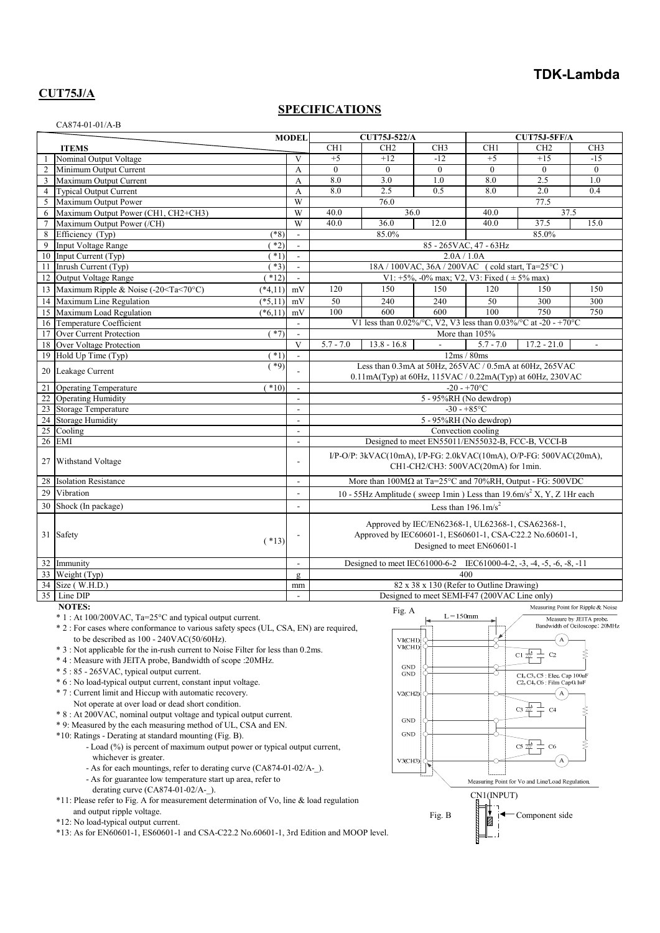### **TDK-Lambda**

## **CUT75J/A**

#### **SPECIFICATIONS**

| CA874-01-01/A-B |
|-----------------|
|-----------------|

|                         |                                                                                                                                                                              | <b>MODEL</b> |                          |                                                                                                                                             | <b>CUT75J-522/A</b>                                                     |                    | CUT75J-5FF/A                                 |                                    |                          |
|-------------------------|------------------------------------------------------------------------------------------------------------------------------------------------------------------------------|--------------|--------------------------|---------------------------------------------------------------------------------------------------------------------------------------------|-------------------------------------------------------------------------|--------------------|----------------------------------------------|------------------------------------|--------------------------|
| <b>ITEMS</b>            |                                                                                                                                                                              |              |                          | CH1                                                                                                                                         | CH <sub>2</sub>                                                         | CH3                | CH1                                          | CH <sub>2</sub>                    | CH <sub>3</sub>          |
| $\overline{1}$          | Nominal Output Voltage                                                                                                                                                       |              | V                        | $+5$                                                                                                                                        | $+12$                                                                   | $-12$              | $+5$                                         | $+15$                              | $-15$                    |
| 2                       | Minimum Output Current                                                                                                                                                       |              | A                        | $\mathbf{0}$                                                                                                                                | $\mathbf{0}$                                                            | $\boldsymbol{0}$   | $\mathbf{0}$                                 | $\mathbf{0}$                       | $\mathbf{0}$             |
| $\overline{\mathbf{3}}$ | Maximum Output Current                                                                                                                                                       |              | A                        | 8.0                                                                                                                                         | 3.0                                                                     | 1.0                | 8.0                                          | 2.5                                | 1.0                      |
| $\overline{4}$          | <b>Typical Output Current</b>                                                                                                                                                |              | $\mathbf{A}$             | 8.0                                                                                                                                         | 2.5                                                                     | 0.5                | 8.0                                          | 2.0                                | 0.4                      |
|                         | Maximum Output Power                                                                                                                                                         |              | W                        |                                                                                                                                             | 76.0                                                                    |                    |                                              | 77.5                               |                          |
| 6                       | Maximum Output Power (CH1, CH2+CH3)                                                                                                                                          |              | W                        | 37.5<br>40.0<br>36.0<br>40.0                                                                                                                |                                                                         |                    |                                              |                                    |                          |
| $7\phantom{.0}$         | Maximum Output Power (/CH)                                                                                                                                                   |              | W                        | 40.0                                                                                                                                        | 36.0                                                                    | 12.0               | 40.0                                         | 37.5                               | 15.0                     |
| 8                       | Efficiency (Typ)                                                                                                                                                             | $(*8)$       | $\sim$                   | 85.0%<br>85.0%                                                                                                                              |                                                                         |                    |                                              |                                    |                          |
| 9                       | Input Voltage Range                                                                                                                                                          | $*2)$        | $\mathbf{r}$             | 85 - 265 VAC, 47 - 63 Hz                                                                                                                    |                                                                         |                    |                                              |                                    |                          |
| 10                      | Input Current (Typ)                                                                                                                                                          | $*1)$        | $\overline{\phantom{a}}$ | 2.0A / 1.0A                                                                                                                                 |                                                                         |                    |                                              |                                    |                          |
|                         | 11 Inrush Current (Typ)                                                                                                                                                      | $*3)$        | $\overline{\phantom{a}}$ | 18A / 100VAC, 36A / 200VAC (cold start, Ta=25°C)                                                                                            |                                                                         |                    |                                              |                                    |                          |
| 12                      | Output Voltage Range                                                                                                                                                         | $*12)$       | $\overline{\phantom{a}}$ | V1: +5%, -0% max; V2, V3: Fixed ( $\pm$ 5% max)                                                                                             |                                                                         |                    |                                              |                                    |                          |
|                         | 13 Maximum Ripple & Noise (-20 <ta<70°c)< td=""><td><math>(*4,11)</math></td><td>mV</td><td>120</td><td>150</td><td>150</td><td>120</td><td>150</td><td>150</td></ta<70°c)<> | $(*4,11)$    | mV                       | 120                                                                                                                                         | 150                                                                     | 150                | 120                                          | 150                                | 150                      |
|                         | 14 Maximum Line Regulation                                                                                                                                                   | $(*5,11)$    | mV                       | 50                                                                                                                                          | 240                                                                     | 240                | 50                                           | 300                                | 300                      |
| 15                      | Maximum Load Regulation                                                                                                                                                      | $(*6,11)$    | mV                       | 100                                                                                                                                         | 600                                                                     | 600                | 100                                          | 750                                | 750                      |
|                         | 16 Temperature Coefficient                                                                                                                                                   |              |                          |                                                                                                                                             | V1 less than $0.02\%$ /°C, V2, V3 less than $0.03\%$ /°C at -20 - +70°C |                    |                                              |                                    |                          |
|                         | 17 Over Current Protection                                                                                                                                                   | $*7)$        |                          |                                                                                                                                             |                                                                         |                    | More than 105%                               |                                    |                          |
| 18                      | Over Voltage Protection                                                                                                                                                      |              | V                        | $5.7 - 7.0$                                                                                                                                 | $13.8 - 16.8$                                                           |                    | $5.7 - 7.0$                                  | $17.2 - 21.0$                      | $\overline{\phantom{a}}$ |
|                         | 19 Hold Up Time (Typ)                                                                                                                                                        | $*1)$        | $\sim$                   |                                                                                                                                             |                                                                         |                    | 12ms/80ms                                    |                                    |                          |
|                         | 20 Leakage Current                                                                                                                                                           | $*9)$        |                          | Less than 0.3mA at 50Hz, 265VAC / 0.5mA at 60Hz, 265VAC<br>0.11mA(Typ) at 60Hz, 115VAC / 0.22mA(Typ) at 60Hz, 230VAC                        |                                                                         |                    |                                              |                                    |                          |
|                         | 21 Operating Temperature                                                                                                                                                     | $*10$        |                          |                                                                                                                                             |                                                                         |                    | $-20 - +70$ °C                               |                                    |                          |
|                         | 22 Operating Humidity                                                                                                                                                        |              | $\mathbf{r}$             |                                                                                                                                             |                                                                         |                    | 5 - 95%RH (No dewdrop)                       |                                    |                          |
|                         | 23 Storage Temperature                                                                                                                                                       |              |                          | $-30 - +85$ °C                                                                                                                              |                                                                         |                    |                                              |                                    |                          |
|                         | 24 Storage Humidity                                                                                                                                                          |              | $\overline{a}$           | 5 - 95%RH (No dewdrop)                                                                                                                      |                                                                         |                    |                                              |                                    |                          |
| 25                      | Cooling                                                                                                                                                                      |              | $\overline{\phantom{a}}$ |                                                                                                                                             |                                                                         | Convection cooling |                                              |                                    |                          |
|                         | 26 EMI                                                                                                                                                                       |              | $\sim$                   | Designed to meet EN55011/EN55032-B, FCC-B, VCCI-B                                                                                           |                                                                         |                    |                                              |                                    |                          |
|                         | 27 Withstand Voltage                                                                                                                                                         |              |                          | $I/P-O/P$ : 3kVAC(10mA), $I/P$ -FG: 2.0kVAC(10mA), O/P-FG: 500VAC(20mA),<br>CH1-CH2/CH3: 500VAC(20mA) for 1min.                             |                                                                         |                    |                                              |                                    |                          |
|                         | 28 Isolation Resistance                                                                                                                                                      |              | $\overline{\phantom{a}}$ | More than $100M\Omega$ at Ta=25°C and 70%RH, Output - FG: 500VDC                                                                            |                                                                         |                    |                                              |                                    |                          |
| 29                      | Vibration                                                                                                                                                                    |              | $\overline{a}$           | 10 - 55Hz Amplitude (sweep 1min) Less than $19.6 \text{m/s}^2$ X, Y, Z 1Hr each                                                             |                                                                         |                    |                                              |                                    |                          |
| 30                      | Shock (In package)                                                                                                                                                           |              | $\overline{\phantom{a}}$ | Less than $196.1 \text{m/s}^2$                                                                                                              |                                                                         |                    |                                              |                                    |                          |
|                         | 31 Safety                                                                                                                                                                    | $(*13)$      |                          | Approved by IEC/EN62368-1, UL62368-1, CSA62368-1,<br>Approved by IEC60601-1, ES60601-1, CSA-C22.2 No.60601-1,<br>Designed to meet EN60601-1 |                                                                         |                    |                                              |                                    |                          |
|                         | 32 Immunity                                                                                                                                                                  |              | $\overline{\phantom{a}}$ | Designed to meet IEC61000-6-2 IEC61000-4-2, -3, -4, -5, -6, -8, -11                                                                         |                                                                         |                    |                                              |                                    |                          |
|                         | 33 Weight (Typ)                                                                                                                                                              |              | $\mathbf{g}$             |                                                                                                                                             |                                                                         |                    | 400                                          |                                    |                          |
|                         | 34 Size (W.H.D.)                                                                                                                                                             |              | mm                       |                                                                                                                                             |                                                                         |                    | 82 x 38 x 130 (Refer to Outline Drawing)     |                                    |                          |
|                         | 35 Line DIP                                                                                                                                                                  |              | $\overline{a}$           |                                                                                                                                             |                                                                         |                    | Designed to meet SEMI-F47 (200VAC Line only) |                                    |                          |
|                         | <b>NOTES:</b>                                                                                                                                                                |              |                          |                                                                                                                                             | Fig. A                                                                  |                    |                                              | Measuring Point for Ripple & Noise |                          |
|                         | * 1 : At 100/200VAC, Ta=25°C and typical output current.<br>*2 · For cases where conformance to various safety specs (HI CSA EN) are required                                |              |                          |                                                                                                                                             |                                                                         | $L = 150$ mm       |                                              | Bandwidth of Ociloscope: 20MHz     | Measure by JEITA probe.  |
|                         |                                                                                                                                                                              |              |                          |                                                                                                                                             |                                                                         |                    |                                              |                                    |                          |

Fig. B

VICHI

VICH.<br>VI(CH)

GND<br>GND

 $V2$ (CH<sub>2</sub>

**GND GND** 

V3CH3

CN1(INPUT)

ç

-8

 $\frac{1}{4}$   $\frac{1}{4}$ 

 $cs \#$ 

 $cs \nightharpoonup t$ 

Measuring Point for Vo and Line/Load Regulation.

 $\mathcal{C}$ 

 $CL, C3, C5$ : Elec. Cap 100uF<br>C2, C4, C6 : Film Cap 0. luF

 $C<sub>4</sub>$ 

Component side

- \* 2 : For cases where conformance to various safety specs (UL, CSA, EN) are required, to be described as  $100 - 240 \text{VAC}(50/60 \text{Hz})$ .
- \* 3 : Not applicable for the in-rush current to Noise Filter for less than 0.2ms.
- \* 4 : Measure with JEITA probe, Bandwidth of scope :20MHz.
- \* 5 : 85 265VAC, typical output current.
- \* 6 : No load-typical output current, constant input voltage.
- \* 7 : Current limit and Hiccup with automatic recovery.
- Not operate at over load or dead short condition.
- \* 8 : At 200VAC, nominal output voltage and typical output current.
- \* 9: Measured by the each measuring method of UL, CSA and EN.
- \*10: Ratings Derating at standard mounting (Fig. B).
	- Load (%) is percent of maximum output power or typical output current, whichever is greater.
	- As for each mountings, refer to derating curve (CA874-01-02/A-). - As for guarantee low temperature start up area, refer to
	- derating curve (CA874-01-02/A-\_).

\*11: Please refer to Fig. A for measurement determination of Vo, line & load regulation and output ripple voltage.

\*12: No load-typical output current.

\*13: As for EN60601-1, ES60601-1 and CSA-C22.2 No.60601-1, 3rd Edition and MOOP level.